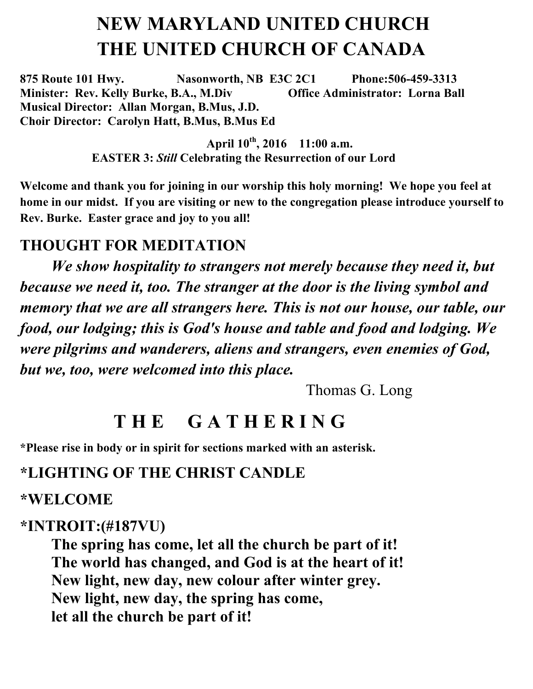# **NEW MARYLAND UNITED CHURCH THE UNITED CHURCH OF CANADA**

**875 Route 101 Hwy. Nasonworth, NB E3C 2C1 Phone:506-459-3313 Minister: Rev. Kelly Burke, B.A., M.Div Office Administrator: Lorna Ball Musical Director: Allan Morgan, B.Mus, J.D. Choir Director: Carolyn Hatt, B.Mus, B.Mus Ed**

> **April 10th, 2016 11:00 a.m. EASTER 3:** *Still* **Celebrating the Resurrection of our Lord**

**Welcome and thank you for joining in our worship this holy morning! We hope you feel at home in our midst. If you are visiting or new to the congregation please introduce yourself to Rev. Burke. Easter grace and joy to you all!** 

#### **THOUGHT FOR MEDITATION**

*We show hospitality to strangers not merely because they need it, but because we need it, too. The stranger at the door is the living symbol and memory that we are all strangers here. This is not our house, our table, our food, our lodging; this is God's house and table and food and lodging. We were pilgrims and wanderers, aliens and strangers, even enemies of God, but we, too, were welcomed into this place.*

Thomas G. Long

# **T H E G A T H E R I N G**

**\*Please rise in body or in spirit for sections marked with an asterisk.**

#### **\*LIGHTING OF THE CHRIST CANDLE**

#### **\*WELCOME**

#### **\*INTROIT:(#187VU)**

**The spring has come, let all the church be part of it! The world has changed, and God is at the heart of it! New light, new day, new colour after winter grey. New light, new day, the spring has come, let all the church be part of it!**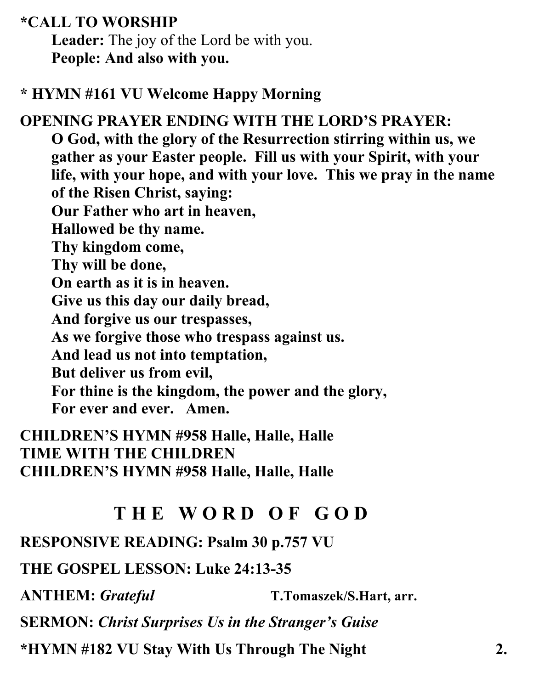**\*CALL TO WORSHIP** 

**Leader:** The joy of the Lord be with you. **People: And also with you.**

#### **\* HYMN #161 VU Welcome Happy Morning**

**OPENING PRAYER ENDING WITH THE LORD'S PRAYER: O God, with the glory of the Resurrection stirring within us, we gather as your Easter people. Fill us with your Spirit, with your life, with your hope, and with your love. This we pray in the name of the Risen Christ, saying: Our Father who art in heaven, Hallowed be thy name. Thy kingdom come, Thy will be done, On earth as it is in heaven. Give us this day our daily bread, And forgive us our trespasses, As we forgive those who trespass against us. And lead us not into temptation, But deliver us from evil, For thine is the kingdom, the power and the glory, For ever and ever. Amen.**

**CHILDREN'S HYMN #958 Halle, Halle, Halle TIME WITH THE CHILDREN CHILDREN'S HYMN #958 Halle, Halle, Halle**

## **T H E W O R D O F G O D**

**RESPONSIVE READING: Psalm 30 p.757 VU** 

**THE GOSPEL LESSON: Luke 24:13-35**

**ANTHEM:** *Grateful* **T.Tomaszek/S.Hart, arr.**

**SERMON:** *Christ Surprises Us in the Stranger's Guise*

**\*HYMN #182 VU Stay With Us Through The Night 2.**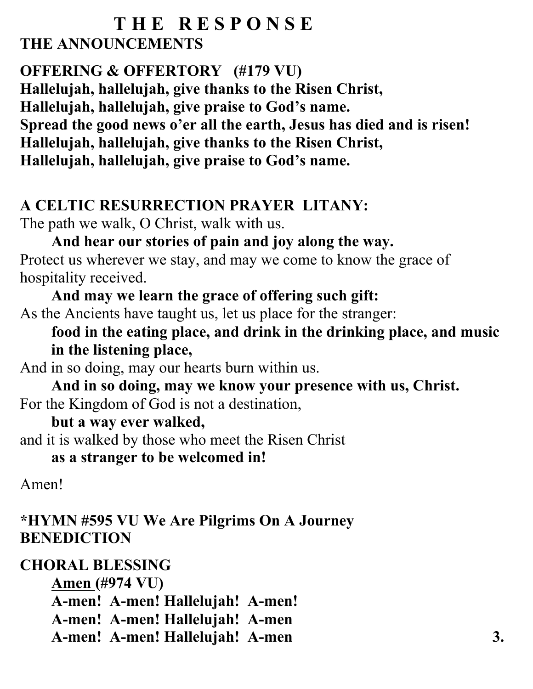### **T H E R E S P O N S E THE ANNOUNCEMENTS**

## **OFFERING & OFFERTORY (#179 VU)**

**Hallelujah, hallelujah, give thanks to the Risen Christ, Hallelujah, hallelujah, give praise to God's name. Spread the good news o'er all the earth, Jesus has died and is risen! Hallelujah, hallelujah, give thanks to the Risen Christ, Hallelujah, hallelujah, give praise to God's name.**

### **A CELTIC RESURRECTION PRAYER LITANY:**

The path we walk, O Christ, walk with us.

### **And hear our stories of pain and joy along the way.**  Protect us wherever we stay, and may we come to know the grace of hospitality received.

**And may we learn the grace of offering such gift:**  As the Ancients have taught us, let us place for the stranger:

**food in the eating place, and drink in the drinking place, and music in the listening place,** 

And in so doing, may our hearts burn within us.

**And in so doing, may we know your presence with us, Christ.**  For the Kingdom of God is not a destination,

### **but a way ever walked,**

and it is walked by those who meet the Risen Christ

### **as a stranger to be welcomed in!**

Amen!

## **\*HYMN #595 VU We Are Pilgrims On A Journey BENEDICTION**

# **CHORAL BLESSING**

**Amen (#974 VU) A-men! A-men! Hallelujah! A-men! A-men! A-men! Hallelujah! A-men A-men! A-men! Hallelujah! A-men 3.**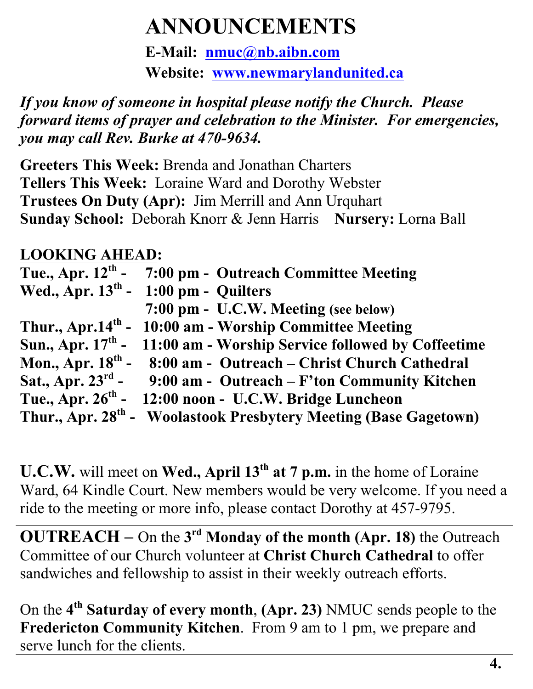# **ANNOUNCEMENTS**

**E-Mail: nmuc@nb.aibn.com Website: www.newmarylandunited.ca**

*If you know of someone in hospital please notify the Church. Please forward items of prayer and celebration to the Minister. For emergencies, you may call Rev. Burke at 470-9634.*

**Greeters This Week:** Brenda and Jonathan Charters **Tellers This Week:** Loraine Ward and Dorothy Webster **Trustees On Duty (Apr):** Jim Merrill and Ann Urquhart **Sunday School:** Deborah Knorr & Jenn Harris **Nursery:** Lorna Ball

## **LOOKING AHEAD:**

| Tue., Apr. $12^{\text{th}}$ - | 7:00 pm - Outreach Committee Meeting                                         |
|-------------------------------|------------------------------------------------------------------------------|
|                               | Wed., Apr. $13th$ - 1:00 pm - Quilters                                       |
|                               | 7:00 pm - U.C.W. Meeting (see below)                                         |
|                               | Thur., Apr.14 <sup>th</sup> - 10:00 am - Worship Committee Meeting           |
|                               | Sun., Apr. $17th$ - 11:00 am - Worship Service followed by Coffeetime        |
|                               | Mon., Apr. $18th$ - 8:00 am - Outreach – Christ Church Cathedral             |
|                               | Sat., Apr. $23^{rd}$ - 9:00 am - Outreach – F'ton Community Kitchen          |
| Tue., Apr. $26^{th}$ -        | 12:00 noon - U.C.W. Bridge Luncheon                                          |
|                               | Thur., Apr. 28 <sup>th</sup> - Woolastook Presbytery Meeting (Base Gagetown) |

**U.C.W.** will meet on **Wed., April 13th at 7 p.m.** in the home of Loraine Ward, 64 Kindle Court. New members would be very welcome. If you need a ride to the meeting or more info, please contact Dorothy at 457-9795.

**OUTREACH –** On the **3rd Monday of the month (Apr. 18)** the Outreach Committee of our Church volunteer at **Christ Church Cathedral** to offer sandwiches and fellowship to assist in their weekly outreach efforts.

On the **4th Saturday of every month**, **(Apr. 23)** NMUC sends people to the **Fredericton Community Kitchen**. From 9 am to 1 pm, we prepare and serve lunch for the clients.